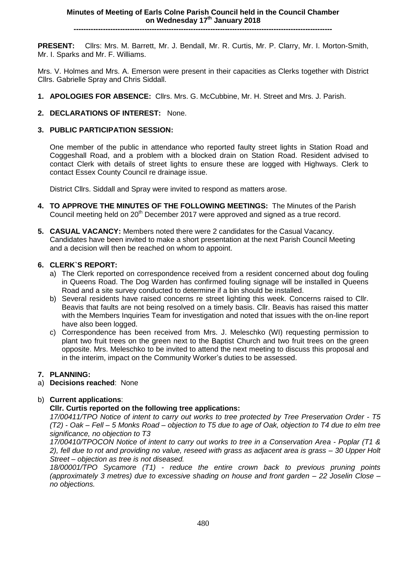**PRESENT:** Cllrs: Mrs. M. Barrett, Mr. J. Bendall, Mr. R. Curtis, Mr. P. Clarry, Mr. I. Morton-Smith, Mr. I. Sparks and Mr. F. Williams.

Mrs. V. Holmes and Mrs. A. Emerson were present in their capacities as Clerks together with District Cllrs. Gabrielle Spray and Chris Siddall.

- **1. APOLOGIES FOR ABSENCE:** Cllrs. Mrs. G. McCubbine, Mr. H. Street and Mrs. J. Parish.
- **2. DECLARATIONS OF INTEREST:** None.

## **3. PUBLIC PARTICIPATION SESSION:**

One member of the public in attendance who reported faulty street lights in Station Road and Coggeshall Road, and a problem with a blocked drain on Station Road. Resident advised to contact Clerk with details of street lights to ensure these are logged with Highways. Clerk to contact Essex County Council re drainage issue.

District Cllrs. Siddall and Spray were invited to respond as matters arose.

- **4. TO APPROVE THE MINUTES OF THE FOLLOWING MEETINGS:** The Minutes of the Parish Council meeting held on 20<sup>th</sup> December 2017 were approved and signed as a true record.
- **5. CASUAL VACANCY:** Members noted there were 2 candidates for the Casual Vacancy. Candidates have been invited to make a short presentation at the next Parish Council Meeting and a decision will then be reached on whom to appoint.

### **6. CLERK`S REPORT:**

- a) The Clerk reported on correspondence received from a resident concerned about dog fouling in Queens Road. The Dog Warden has confirmed fouling signage will be installed in Queens Road and a site survey conducted to determine if a bin should be installed.
- b) Several residents have raised concerns re street lighting this week. Concerns raised to Cllr. Beavis that faults are not being resolved on a timely basis. Cllr. Beavis has raised this matter with the Members Inquiries Team for investigation and noted that issues with the on-line report have also been logged.
- c) Correspondence has been received from Mrs. J. Meleschko (WI) requesting permission to plant two fruit trees on the green next to the Baptist Church and two fruit trees on the green opposite. Mrs. Meleschko to be invited to attend the next meeting to discuss this proposal and in the interim, impact on the Community Worker's duties to be assessed.

### **7. PLANNING:**

a) **Decisions reached**: None

### b) **Current applications**:

### **Cllr. Curtis reported on the following tree applications:**

*17/00411/TPO Notice of intent to carry out works to tree protected by Tree Preservation Order - T5 (T2) - Oak – Fell – 5 Monks Road – objection to T5 due to age of Oak, objection to T4 due to elm tree significance, no objection to T3*

*17/00410/TPOCON Notice of intent to carry out works to tree in a Conservation Area - Poplar (T1 & 2), fell due to rot and providing no value, reseed with grass as adjacent area is grass – 30 Upper Holt Street – objection as tree is not diseased.*

*18/00001/TPO Sycamore (T1) - reduce the entire crown back to previous pruning points (approximately 3 metres) due to excessive shading on house and front garden – 22 Joselin Close – no objections.*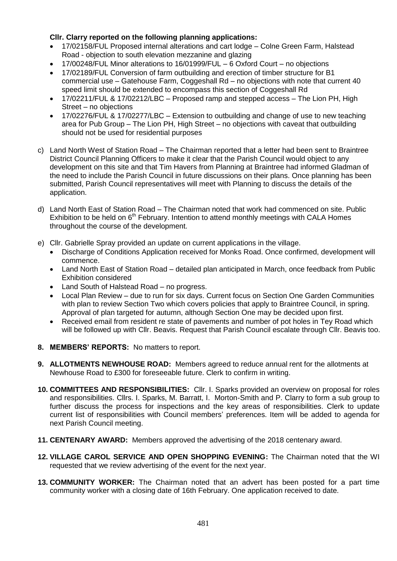# **Cllr. Clarry reported on the following planning applications:**

- 17/02158/FUL Proposed internal alterations and cart lodge Colne Green Farm, Halstead Road - objection to south elevation mezzanine and glazing
- 17/00248/FUL Minor alterations to 16/01999/FUL 6 Oxford Court no objections
- 17/02189/FUL Conversion of farm outbuilding and erection of timber structure for B1 commercial use – Gatehouse Farm, Coggeshall Rd – no objections with note that current 40 speed limit should be extended to encompass this section of Coggeshall Rd
- 17/02211/FUL & 17/02212/LBC Proposed ramp and stepped access The Lion PH, High Street – no objections
- 17/02276/FUL & 17/02277/LBC Extension to outbuilding and change of use to new teaching area for Pub Group – The Lion PH, High Street – no objections with caveat that outbuilding should not be used for residential purposes
- c) Land North West of Station Road The Chairman reported that a letter had been sent to Braintree District Council Planning Officers to make it clear that the Parish Council would object to any development on this site and that Tim Havers from Planning at Braintree had informed Gladman of the need to include the Parish Council in future discussions on their plans. Once planning has been submitted, Parish Council representatives will meet with Planning to discuss the details of the application.
- d) Land North East of Station Road The Chairman noted that work had commenced on site. Public Exhibition to be held on  $6<sup>th</sup>$  February. Intention to attend monthly meetings with CALA Homes throughout the course of the development.
- e) Cllr. Gabrielle Spray provided an update on current applications in the village.
	- Discharge of Conditions Application received for Monks Road. Once confirmed, development will commence.
	- Land North East of Station Road detailed plan anticipated in March, once feedback from Public Exhibition considered
	- Land South of Halstead Road no progress.
	- Local Plan Review due to run for six days. Current focus on Section One Garden Communities with plan to review Section Two which covers policies that apply to Braintree Council, in spring. Approval of plan targeted for autumn, although Section One may be decided upon first.
	- Received email from resident re state of pavements and number of pot holes in Tey Road which will be followed up with Cllr. Beavis. Request that Parish Council escalate through Cllr. Beavis too.
- **8. MEMBERS' REPORTS:** No matters to report.
- **9. ALLOTMENTS NEWHOUSE ROAD:** Members agreed to reduce annual rent for the allotments at Newhouse Road to £300 for foreseeable future. Clerk to confirm in writing.
- **10. COMMITTEES AND RESPONSIBILITIES:** Cllr. I. Sparks provided an overview on proposal for roles and responsibilities. Cllrs. I. Sparks, M. Barratt, I. Morton-Smith and P. Clarry to form a sub group to further discuss the process for inspections and the key areas of responsibilities. Clerk to update current list of responsibilities with Council members' preferences. Item will be added to agenda for next Parish Council meeting.
- **11. CENTENARY AWARD:** Members approved the advertising of the 2018 centenary award.
- **12. VILLAGE CAROL SERVICE AND OPEN SHOPPING EVENING:** The Chairman noted that the WI requested that we review advertising of the event for the next year.
- **13. COMMUNITY WORKER:** The Chairman noted that an advert has been posted for a part time community worker with a closing date of 16th February. One application received to date.